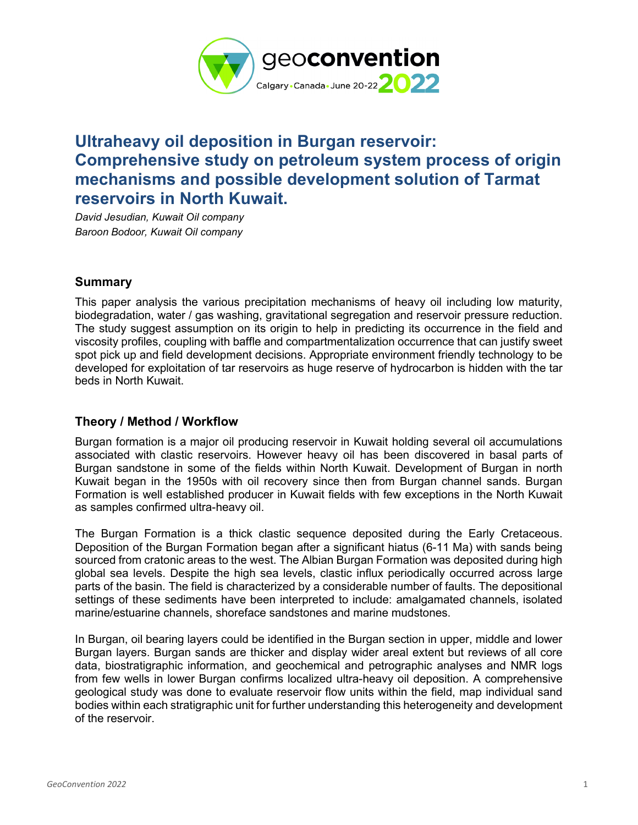

## **Ultraheavy oil deposition in Burgan reservoir: Comprehensive study on petroleum system process of origin mechanisms and possible development solution of Tarmat reservoirs in North Kuwait.**

*David Jesudian, Kuwait Oil company Baroon Bodoor, Kuwait Oil company*

## **Summary**

This paper analysis the various precipitation mechanisms of heavy oil including low maturity, biodegradation, water / gas washing, gravitational segregation and reservoir pressure reduction. The study suggest assumption on its origin to help in predicting its occurrence in the field and viscosity profiles, coupling with baffle and compartmentalization occurrence that can justify sweet spot pick up and field development decisions. Appropriate environment friendly technology to be developed for exploitation of tar reservoirs as huge reserve of hydrocarbon is hidden with the tar beds in North Kuwait.

## **Theory / Method / Workflow**

Burgan formation is a major oil producing reservoir in Kuwait holding several oil accumulations associated with clastic reservoirs. However heavy oil has been discovered in basal parts of Burgan sandstone in some of the fields within North Kuwait. Development of Burgan in north Kuwait began in the 1950s with oil recovery since then from Burgan channel sands. Burgan Formation is well established producer in Kuwait fields with few exceptions in the North Kuwait as samples confirmed ultra-heavy oil.

The Burgan Formation is a thick clastic sequence deposited during the Early Cretaceous. Deposition of the Burgan Formation began after a significant hiatus (6-11 Ma) with sands being sourced from cratonic areas to the west. The Albian Burgan Formation was deposited during high global sea levels. Despite the high sea levels, clastic influx periodically occurred across large parts of the basin. The field is characterized by a considerable number of faults. The depositional settings of these sediments have been interpreted to include: amalgamated channels, isolated marine/estuarine channels, shoreface sandstones and marine mudstones.

In Burgan, oil bearing layers could be identified in the Burgan section in upper, middle and lower Burgan layers. Burgan sands are thicker and display wider areal extent but reviews of all core data, biostratigraphic information, and geochemical and petrographic analyses and NMR logs from few wells in lower Burgan confirms localized ultra-heavy oil deposition. A comprehensive geological study was done to evaluate reservoir flow units within the field, map individual sand bodies within each stratigraphic unit for further understanding this heterogeneity and development of the reservoir.